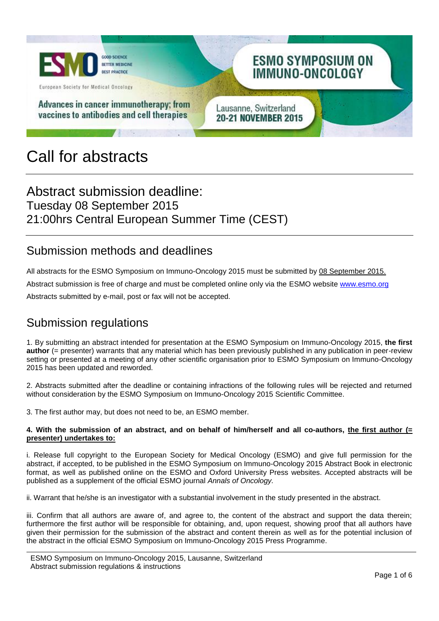

# Call for abstracts

# Abstract submission deadline: Tuesday 08 September 2015 21:00hrs Central European Summer Time (CEST)

#### Submission methods and deadlines

All abstracts for the ESMO Symposium on Immuno-Oncology 2015 must be submitted by 08 September 2015. Abstract submission is free of charge and must be completed online only via the ESMO website [www.esmo.org](http://www.esmo.org/)

Abstracts submitted by e-mail, post or fax will not be accepted.

### Submission regulations

1. By submitting an abstract intended for presentation at the ESMO Symposium on Immuno-Oncology 2015, **the first author** (= presenter) warrants that any material which has been previously published in any publication in peer-review setting or presented at a meeting of any other scientific organisation prior to ESMO Symposium on Immuno-Oncology 2015 has been updated and reworded.

2. Abstracts submitted after the deadline or containing infractions of the following rules will be rejected and returned without consideration by the ESMO Symposium on Immuno-Oncology 2015 Scientific Committee.

3. The first author may, but does not need to be, an ESMO member.

#### **4. With the submission of an abstract, and on behalf of him/herself and all co-authors, the first author (= presenter) undertakes to:**

i. Release full copyright to the European Society for Medical Oncology (ESMO) and give full permission for the abstract, if accepted, to be published in the ESMO Symposium on Immuno-Oncology 2015 Abstract Book in electronic format, as well as published online on the ESMO and Oxford University Press websites. Accepted abstracts will be published as a supplement of the official ESMO journal *Annals of Oncology.*

ii. Warrant that he/she is an investigator with a substantial involvement in the study presented in the abstract.

iii. Confirm that all authors are aware of, and agree to, the content of the abstract and support the data therein; furthermore the first author will be responsible for obtaining, and, upon request, showing proof that all authors have given their permission for the submission of the abstract and content therein as well as for the potential inclusion of the abstract in the official ESMO Symposium on Immuno-Oncology 2015 Press Programme.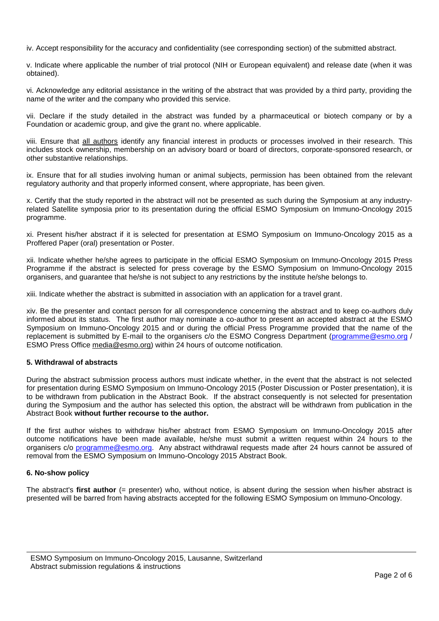iv. Accept responsibility for the accuracy and confidentiality (see corresponding section) of the submitted abstract.

v. Indicate where applicable the number of trial protocol (NIH or European equivalent) and release date (when it was obtained).

vi. Acknowledge any editorial assistance in the writing of the abstract that was provided by a third party, providing the name of the writer and the company who provided this service.

vii. Declare if the study detailed in the abstract was funded by a pharmaceutical or biotech company or by a Foundation or academic group, and give the grant no. where applicable.

viii. Ensure that all authors identify any financial interest in products or processes involved in their research. This includes stock ownership, membership on an advisory board or board of directors, corporate-sponsored research, or other substantive relationships.

ix. Ensure that for all studies involving human or animal subjects, permission has been obtained from the relevant regulatory authority and that properly informed consent, where appropriate, has been given.

x. Certify that the study reported in the abstract will not be presented as such during the Symposium at any industryrelated Satellite symposia prior to its presentation during the official ESMO Symposium on Immuno-Oncology 2015 programme.

xi. Present his/her abstract if it is selected for presentation at ESMO Symposium on Immuno-Oncology 2015 as a Proffered Paper (oral) presentation or Poster.

xii. Indicate whether he/she agrees to participate in the official ESMO Symposium on Immuno-Oncology 2015 Press Programme if the abstract is selected for press coverage by the ESMO Symposium on Immuno-Oncology 2015 organisers, and guarantee that he/she is not subject to any restrictions by the institute he/she belongs to.

xiii. Indicate whether the abstract is submitted in association with an application for a travel grant.

xiv. Be the presenter and contact person for all correspondence concerning the abstract and to keep co-authors duly informed about its status. The first author may nominate a co-author to present an accepted abstract at the ESMO Symposium on Immuno-Oncology 2015 and or during the official Press Programme provided that the name of the replacement is submitted by E-mail to the organisers c/o the ESMO Congress Department [\(programme@esmo.org](mailto:programme@esmo.org) / ESMO Press Office [media@esmo.org\)](mailto:media@esmo.org) within 24 hours of outcome notification.

#### **5. Withdrawal of abstracts**

During the abstract submission process authors must indicate whether, in the event that the abstract is not selected for presentation during ESMO Symposium on Immuno-Oncology 2015 (Poster Discussion or Poster presentation), it is to be withdrawn from publication in the Abstract Book. If the abstract consequently is not selected for presentation during the Symposium and the author has selected this option, the abstract will be withdrawn from publication in the Abstract Book **without further recourse to the author.**

If the first author wishes to withdraw his/her abstract from ESMO Symposium on Immuno-Oncology 2015 after outcome notifications have been made available, he/she must submit a written request within 24 hours to the organisers c/o [programme@esmo.org.](mailto:programme@esmo.org) Any abstract withdrawal requests made after 24 hours cannot be assured of removal from the ESMO Symposium on Immuno-Oncology 2015 Abstract Book.

#### **6. No-show policy**

The abstract's **first author** (= presenter) who, without notice, is absent during the session when his/her abstract is presented will be barred from having abstracts accepted for the following ESMO Symposium on Immuno-Oncology.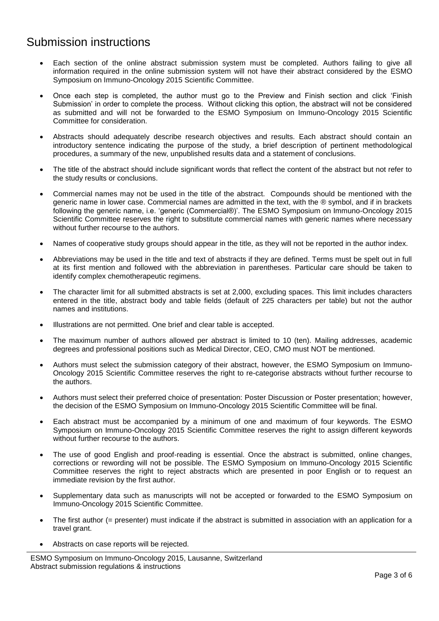### Submission instructions

- Each section of the online abstract submission system must be completed. Authors failing to give all information required in the online submission system will not have their abstract considered by the ESMO Symposium on Immuno-Oncology 2015 Scientific Committee.
- Once each step is completed, the author must go to the Preview and Finish section and click 'Finish Submission' in order to complete the process. Without clicking this option, the abstract will not be considered as submitted and will not be forwarded to the ESMO Symposium on Immuno-Oncology 2015 Scientific Committee for consideration.
- Abstracts should adequately describe research objectives and results. Each abstract should contain an introductory sentence indicating the purpose of the study, a brief description of pertinent methodological procedures, a summary of the new, unpublished results data and a statement of conclusions.
- The title of the abstract should include significant words that reflect the content of the abstract but not refer to the study results or conclusions.
- Commercial names may not be used in the title of the abstract. Compounds should be mentioned with the generic name in lower case. Commercial names are admitted in the text, with the ® symbol, and if in brackets following the generic name, i.e. 'generic (Commercial®)'. The ESMO Symposium on Immuno-Oncology 2015 Scientific Committee reserves the right to substitute commercial names with generic names where necessary without further recourse to the authors.
- Names of cooperative study groups should appear in the title, as they will not be reported in the author index.
- Abbreviations may be used in the title and text of abstracts if they are defined. Terms must be spelt out in full at its first mention and followed with the abbreviation in parentheses. Particular care should be taken to identify complex chemotherapeutic regimens.
- The character limit for all submitted abstracts is set at 2,000, excluding spaces. This limit includes characters entered in the title, abstract body and table fields (default of 225 characters per table) but not the author names and institutions.
- Illustrations are not permitted. One brief and clear table is accepted.
- The maximum number of authors allowed per abstract is limited to 10 (ten). Mailing addresses, academic degrees and professional positions such as Medical Director, CEO, CMO must NOT be mentioned.
- Authors must select the submission category of their abstract, however, the ESMO Symposium on Immuno-Oncology 2015 Scientific Committee reserves the right to re-categorise abstracts without further recourse to the authors.
- Authors must select their preferred choice of presentation: Poster Discussion or Poster presentation; however, the decision of the ESMO Symposium on Immuno-Oncology 2015 Scientific Committee will be final.
- Each abstract must be accompanied by a minimum of one and maximum of four keywords. The ESMO Symposium on Immuno-Oncology 2015 Scientific Committee reserves the right to assign different keywords without further recourse to the authors.
- The use of good English and proof-reading is essential. Once the abstract is submitted, online changes, corrections or rewording will not be possible. The ESMO Symposium on Immuno-Oncology 2015 Scientific Committee reserves the right to reject abstracts which are presented in poor English or to request an immediate revision by the first author.
- Supplementary data such as manuscripts will not be accepted or forwarded to the ESMO Symposium on Immuno-Oncology 2015 Scientific Committee.
- The first author (= presenter) must indicate if the abstract is submitted in association with an application for a travel grant.
- Abstracts on case reports will be rejected.

ESMO Symposium on Immuno-Oncology 2015, Lausanne, Switzerland Abstract submission regulations & instructions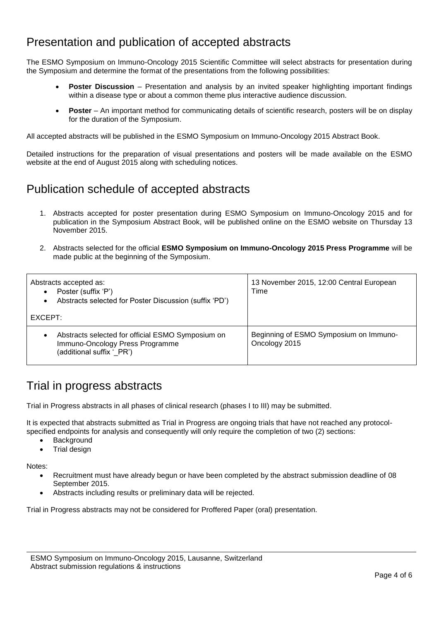### Presentation and publication of accepted abstracts

The ESMO Symposium on Immuno-Oncology 2015 Scientific Committee will select abstracts for presentation during the Symposium and determine the format of the presentations from the following possibilities:

- **Poster Discussion** Presentation and analysis by an invited speaker highlighting important findings within a disease type or about a common theme plus interactive audience discussion.
- **Poster** An important method for communicating details of scientific research, posters will be on display for the duration of the Symposium.

All accepted abstracts will be published in the ESMO Symposium on Immuno-Oncology 2015 Abstract Book.

Detailed instructions for the preparation of visual presentations and posters will be made available on the ESMO website at the end of August 2015 along with scheduling notices.

### Publication schedule of accepted abstracts

- 1. Abstracts accepted for poster presentation during ESMO Symposium on Immuno-Oncology 2015 and for publication in the Symposium Abstract Book, will be published online on the ESMO website on Thursday 13 November 2015.
- 2. Abstracts selected for the official **ESMO Symposium on Immuno-Oncology 2015 Press Programme** will be made public at the beginning of the Symposium.

| Abstracts accepted as:<br>Poster (suffix 'P')<br>$\bullet$<br>Abstracts selected for Poster Discussion (suffix 'PD')<br>$\bullet$ | 13 November 2015, 12:00 Central European<br>Time        |
|-----------------------------------------------------------------------------------------------------------------------------------|---------------------------------------------------------|
| EXCEPT:                                                                                                                           |                                                         |
| Abstracts selected for official ESMO Symposium on<br>$\bullet$<br>Immuno-Oncology Press Programme<br>(additional suffix ' PR')    | Beginning of ESMO Symposium on Immuno-<br>Oncology 2015 |

### Trial in progress abstracts

Trial in Progress abstracts in all phases of clinical research (phases I to III) may be submitted.

It is expected that abstracts submitted as Trial in Progress are ongoing trials that have not reached any protocolspecified endpoints for analysis and consequently will only require the completion of two (2) sections:

- **Background**
- Trial design

Notes:

- Recruitment must have already begun or have been completed by the abstract submission deadline of 08 September 2015.
- Abstracts including results or preliminary data will be rejected.

Trial in Progress abstracts may not be considered for Proffered Paper (oral) presentation.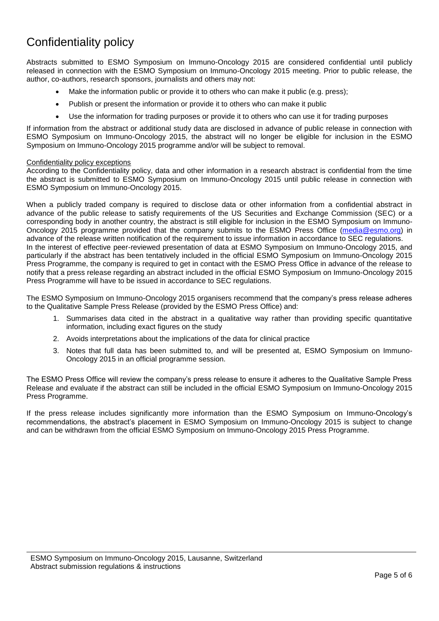# Confidentiality policy

Abstracts submitted to ESMO Symposium on Immuno-Oncology 2015 are considered confidential until publicly released in connection with the ESMO Symposium on Immuno-Oncology 2015 meeting. Prior to public release, the author, co-authors, research sponsors, journalists and others may not:

- Make the information public or provide it to others who can make it public (e.g. press);
- Publish or present the information or provide it to others who can make it public
- Use the information for trading purposes or provide it to others who can use it for trading purposes

If information from the abstract or additional study data are disclosed in advance of public release in connection with ESMO Symposium on Immuno-Oncology 2015, the abstract will no longer be eligible for inclusion in the ESMO Symposium on Immuno-Oncology 2015 programme and/or will be subject to removal.

#### Confidentiality policy exceptions

According to the Confidentiality policy, data and other information in a research abstract is confidential from the time the abstract is submitted to ESMO Symposium on Immuno-Oncology 2015 until public release in connection with ESMO Symposium on Immuno-Oncology 2015.

When a publicly traded company is required to disclose data or other information from a confidential abstract in advance of the public release to satisfy requirements of the US Securities and Exchange Commission (SEC) or a corresponding body in another country, the abstract is still eligible for inclusion in the ESMO Symposium on Immuno-Oncology 2015 programme provided that the company submits to the ESMO Press Office [\(media@esmo.org\)](mailto:media@esmo.org) in advance of the release written notification of the requirement to issue information in accordance to SEC regulations. In the interest of effective peer-reviewed presentation of data at ESMO Symposium on Immuno-Oncology 2015, and particularly if the abstract has been tentatively included in the official ESMO Symposium on Immuno-Oncology 2015 Press Programme, the company is required to get in contact with the ESMO Press Office in advance of the release to notify that a press release regarding an abstract included in the official ESMO Symposium on Immuno-Oncology 2015 Press Programme will have to be issued in accordance to SEC regulations.

The ESMO Symposium on Immuno-Oncology 2015 organisers recommend that the company's press release adheres to the Qualitative Sample Press Release (provided by the ESMO Press Office) and:

- 1. Summarises data cited in the abstract in a qualitative way rather than providing specific quantitative information, including exact figures on the study
- 2. Avoids interpretations about the implications of the data for clinical practice
- 3. Notes that full data has been submitted to, and will be presented at, ESMO Symposium on Immuno-Oncology 2015 in an official programme session.

The ESMO Press Office will review the company's press release to ensure it adheres to the Qualitative Sample Press Release and evaluate if the abstract can still be included in the official ESMO Symposium on Immuno-Oncology 2015 Press Programme.

If the press release includes significantly more information than the ESMO Symposium on Immuno-Oncology's recommendations, the abstract's placement in ESMO Symposium on Immuno-Oncology 2015 is subject to change and can be withdrawn from the official ESMO Symposium on Immuno-Oncology 2015 Press Programme.